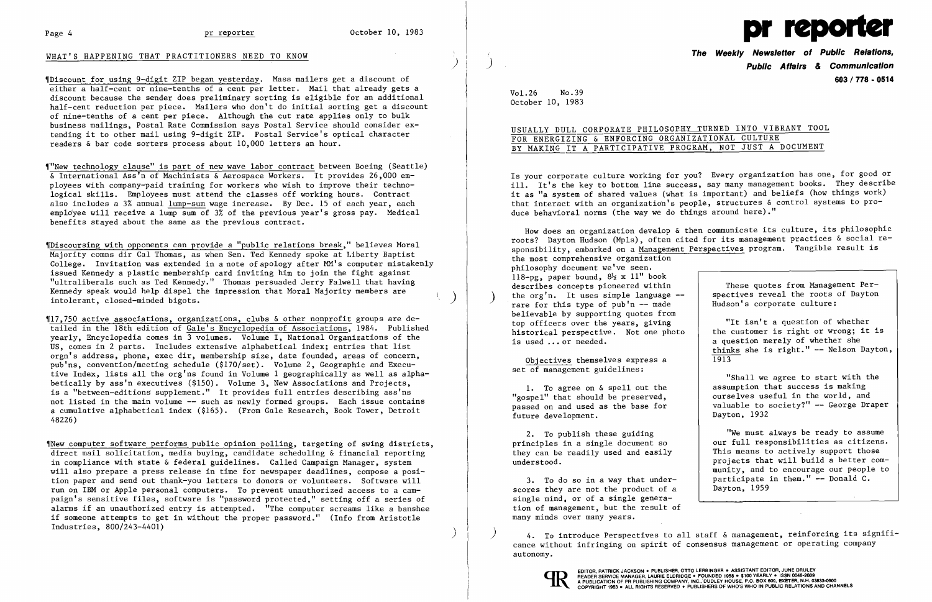### WHAT'S HAPPENING THAT PRACTITIONERS NEED TO KNOW



'IDiscount for using 9-digit ZIP began yesterday. Mass mailers get a discount of either a half-cent or nine-tenths of a cent per letter. Mail that already gets a discount because the sender does preliminary sorting is eligible for an additional half-cent reduction per piece. Mailers who don't do initial sorting get a discount of nine-tenths of a cent per piece. Although the cut rate applies only to bulk business mailings, Postal Rate Commission says Postal Service should consider extending it to other mail using 9-digit ZIP. Postal Service's optical character readers & bar code sorters process about 10,000 letters an hour.

'I"New technology clause" is part of new wave labor contract between Boeing (Seattle)  $\&$  International Ass'n of Machinists  $\&$  Aerospace Workers. It provides 26,000 employees with company-paid training for workers who wish to improve their technological skills. Employees must attend the classes off working hours. Contract also includes a 3% annual lump-sum wage increase. By Dec. 15 of each year, each empldyee will receive a lump sum of 3% of the previous year's gross pay. Medical benefits stayed about the same as the previous contract.

"Discoursing with opponents can provide a "public relations break," believes Moral Majority comns dir Cal Thomas, as when Sen. Ted Kennedy spoke at Liberty Baptist College. Invitation was extended in a note of apology after MM's computer mistakenly issued Kennedy a plastic membership card inviting him to join the fight against "ultraliberals such as Ted Kennedy." Thomas persuaded Jerry Falwell that having Kennedy speak would help dispel the impression that Moral Majority members are which is a continued bigots.

 $\P$ 17.750 active associations, organizations, clubs & other nonprofit groups are detailed in the 18th edition of Gale's Encyclopedia of Associations, 1984. Published yearly, Encyclopedia comes in  $\overline{3}$  volumes. Volume I, National Organizations of the US, comes in 2 parts. Includes extensive alphabetical index; entries that list orgn's address, phone, exec dir, membership size, date founded, areas of concern, pub'ns, convention/meeting schedule (\$170/set). Volume 2, Geographic and Executive Index, lists all the org'ns found in Volume 1 geographically as well as alphabetically by ass'n executives (\$150). Volume 3, New Associations and Projects, is a "between-editions supplement." It provides full entries describing ass'ns not listed in the main volume -- such as newly formed groups. Each issue contains a cumulative alphabetical index (\$165). (From Gale Research, Book Tower, Detroit 48226)

How does an organization develop & then communicate its culture, its philosophic roots? Dayton Hudson (Mpls), often cited for its management practices & social responsibility, embarked on a Management Perspectives program. Tangible result is the most comprehensive organization philosophy document we've seen. 118-pg, paper bound,  $8\frac{1}{2} \times 11$ " book describes concepts pioneered within the org'n. It uses simple language  $-$ -<br>rare for this type of pub'n  $-$ - made believable by supporting quotes from top officers over the years, giving historical perspective. Not one photo is used ... or needed. These quotes from Management Perspectives reveal the roots of Dayton Hudson's corporate culture: "It isn't a question of whether the customer is right or wrong; it is a question merely of whether she thinks she is right." -- Nelson Dayton, 1913

4. To introduce Perspectives to all staff & management, reinforcing its significance without infringing on spirit of consensus management or operating company autonomy.



'INew computer software performs public opinion polling, targeting of swing districts, direct mail solicitation, media buying, candidate scheduling & financial reporting in compliance with state & federal guidelines. Called Campaign Manager, system will also prepare a press release in time for newspaper deadlines, compose a position paper and send out thank-you letters to donors or volunteers. Software will run on IBM or Apple personal computers. To prevent unauthorized access to a campaign's sensitive files, software is "password protected," setting off a series of alarms if an unauthorized entry is attempted. "The computer screams like a banshee if someone attempts to get in without the proper password." (Info from Aristotle Industries, 800/243-4401) )

**The Weekly Newsletter of Public Relations,**  ) **Public Affairs & Communication 603/778 - 0514** 

Vol. 26 No. 39 October 10. 1983

USUALLY DULL CORPORATE PHILOSOPHY TURNED INTO VIBRANT TOOL

# FOR ENERGIZING & ENFORCING ORGANIZATIONAL CULTURE BY MAKING IT A PARTICIPATIVE PROGRAM. NOT JUST A DOCUMENT

Is your corporate culture working for you? Every organization has one, for good or ill. It's the key to bottom line success, say many management books. They describe it as "a system of shared values (what is important) and beliefs (how things work) that interact with an organization's people, structures & control systems to produce behavioral norms (the way we do things around here)."

Objectives themselves express a set of management guidelines:

1. To agree on & spell out the "gospel" that should be preserved, passed on and used as the base for future development.

2. To publish these guiding principles in a single document so they can be readily used and easily understood.

3. To do so in a way that underscores they are not the product of a single mind, or of a single generation of management. but the result of many minds over many years.

"Shall we agree to start with the assumption that success is making ourselves useful in the world. and valuable to society?" -- George Draper Dayton, 1932

"We must always be ready to assume our full responsibilities as citizens. This means to actively support those projects that will build a better community, and to encourage our people to participate in them." -- Donald C. Dayton, 1959